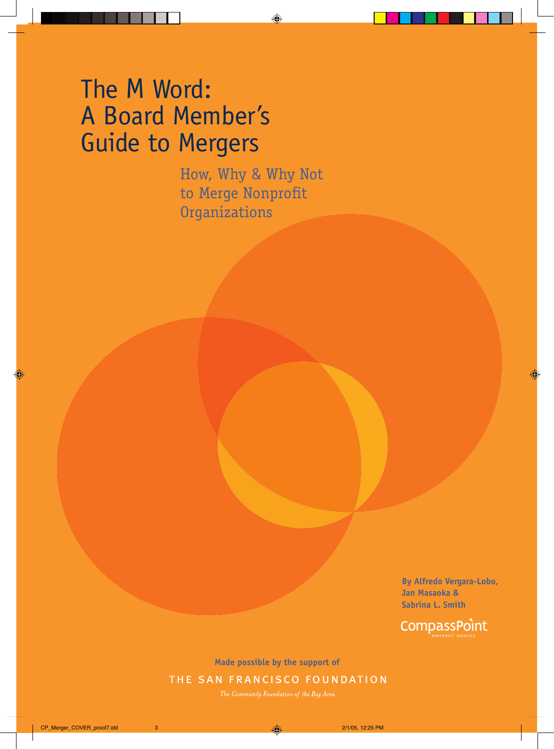# The M Word: A Board Member's Guide to Mergers

How, Why & Why Not to Merge Nonprofit **Organizations** 

> **By Alfredo Vergara-Lobo, Jan Masaoka & Sabrina L. Smith**



**Made possible by the support of**  THE SAN FRANCISCO FOUNDATION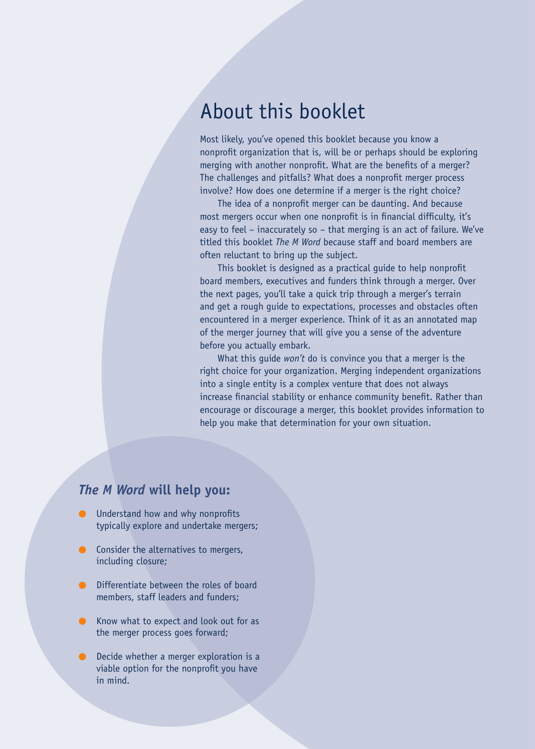# About this booklet

Most likely, you've opened this booklet because you know a nonprofit organization that is, will be or perhaps should be exploring merging with another nonprofit. What are the benefits of a merger? The challenges and pitfalls? What does a nonprofit merger process involve? How does one determine if a merger is the right choice?

The idea of a nonprofit merger can be daunting. And because most mergers occur when one nonprofit is in financial difficulty, it's easy to feel – inaccurately so – that merging is an act of failure. We've titled this booklet *The M Word* because staff and board members are often reluctant to bring up the subject.

This booklet is designed as a practical guide to help nonprofit board members, executives and funders think through a merger. Over the next pages, you'll take a quick trip through a merger's terrain and get a rough guide to expectations, processes and obstacles often encountered in a merger experience. Think of it as an annotated map of the merger journey that will give you a sense of the adventure before you actually embark.

What this guide *won't* do is convince you that a merger is the right choice for your organization. Merging independent organizations into a single entity is a complex venture that does not always increase financial stability or enhance community benefit. Rather than encourage or discourage a merger, this booklet provides information to help you make that determination for your own situation.

#### *The M Word* **will help you:**

- Understand how and why nonprofits typically explore and undertake mergers;
- Consider the alternatives to mergers, including closure;
- Differentiate between the roles of board members, staff leaders and funders;
- Know what to expect and look out for as the merger process goes forward;
- Decide whether a merger exploration is a viable option for the nonprofit you have in mind.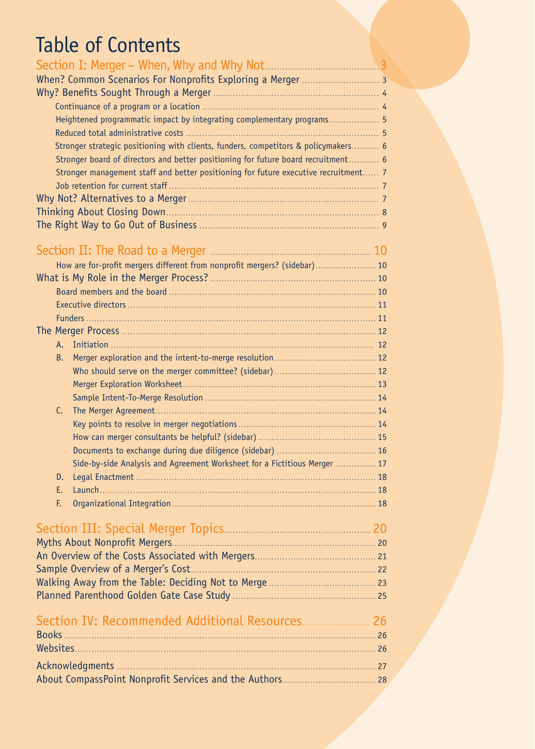# Table of Contents

| iupic | UI CUITCLITCJ                                                                       |  |
|-------|-------------------------------------------------------------------------------------|--|
|       |                                                                                     |  |
|       |                                                                                     |  |
|       |                                                                                     |  |
|       |                                                                                     |  |
|       | Heightened programmatic impact by integrating complementary programs 5              |  |
|       |                                                                                     |  |
|       | Stronger strategic positioning with clients, funders, competitors & policymakers 6  |  |
|       | Stronger board of directors and better positioning for future board recruitment 6   |  |
|       | Stronger management staff and better positioning for future executive recruitment 7 |  |
|       |                                                                                     |  |
|       |                                                                                     |  |
|       |                                                                                     |  |
|       |                                                                                     |  |
|       |                                                                                     |  |
|       |                                                                                     |  |
|       | How are for-profit mergers different from nonprofit mergers? (sidebar) 10           |  |
|       |                                                                                     |  |
|       |                                                                                     |  |
|       |                                                                                     |  |
|       |                                                                                     |  |
|       |                                                                                     |  |
| A.    |                                                                                     |  |
| В.    |                                                                                     |  |
|       |                                                                                     |  |
|       |                                                                                     |  |
|       |                                                                                     |  |
| C.    |                                                                                     |  |
|       |                                                                                     |  |
|       |                                                                                     |  |
|       |                                                                                     |  |
|       | Side-by-side Analysis and Agreement Worksheet for a Fictitious Merger  17           |  |
| D.    |                                                                                     |  |
| Е.    |                                                                                     |  |
| F.    |                                                                                     |  |
|       |                                                                                     |  |
|       |                                                                                     |  |
|       |                                                                                     |  |
|       |                                                                                     |  |
|       |                                                                                     |  |
|       |                                                                                     |  |
|       |                                                                                     |  |
|       |                                                                                     |  |
|       | Section IV: Recommended Additional Resources 26                                     |  |
|       |                                                                                     |  |
|       |                                                                                     |  |
|       |                                                                                     |  |
|       |                                                                                     |  |
|       |                                                                                     |  |
|       |                                                                                     |  |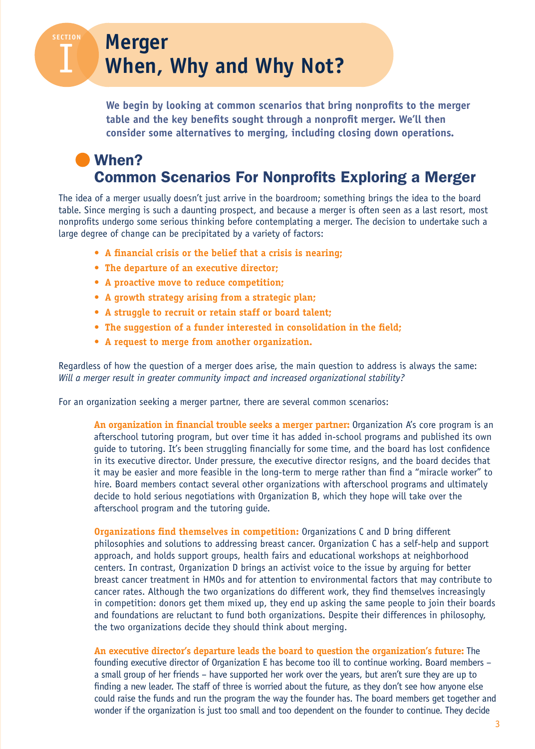# **Merger**<br>**When, Why and Why Not?**

**We begin by looking at common scenarios that bring nonprofits to the merger table and the key benefits sought through a nonprofit merger. We'll then consider some alternatives to merging, including closing down operations.**

# **O** When? Common Scenarios For Nonprofits Exploring a Merger

The idea of a merger usually doesn't just arrive in the boardroom; something brings the idea to the board table. Since merging is such a daunting prospect, and because a merger is often seen as a last resort, most nonprofits undergo some serious thinking before contemplating a merger. The decision to undertake such a large degree of change can be precipitated by a variety of factors:

- **A financial crisis or the belief that a crisis is nearing;**
- **The departure of an executive director;**
- **A proactive move to reduce competition;**
- **A growth strategy arising from a strategic plan;**
- **A struggle to recruit or retain staff or board talent;**
- **The suggestion of a funder interested in consolidation in the field;**
- **A request to merge from another organization.**

Regardless of how the question of a merger does arise, the main question to address is always the same: *Will a merger result in greater community impact and increased organizational stability?*

For an organization seeking a merger partner, there are several common scenarios:

**An organization in financial trouble seeks a merger partner:** Organization A's core program is an afterschool tutoring program, but over time it has added in-school programs and published its own guide to tutoring. It's been struggling financially for some time, and the board has lost confidence in its executive director. Under pressure, the executive director resigns, and the board decides that it may be easier and more feasible in the long-term to merge rather than find a "miracle worker" to hire. Board members contact several other organizations with afterschool programs and ultimately decide to hold serious negotiations with Organization B, which they hope will take over the afterschool program and the tutoring guide.

**Organizations find themselves in competition:** Organizations C and D bring different philosophies and solutions to addressing breast cancer. Organization C has a self-help and support approach, and holds support groups, health fairs and educational workshops at neighborhood centers. In contrast, Organization D brings an activist voice to the issue by arguing for better breast cancer treatment in HMOs and for attention to environmental factors that may contribute to cancer rates. Although the two organizations do different work, they find themselves increasingly in competition: donors get them mixed up, they end up asking the same people to join their boards and foundations are reluctant to fund both organizations. Despite their differences in philosophy, the two organizations decide they should think about merging.

**An executive director's departure leads the board to question the organization's future:** The founding executive director of Organization E has become too ill to continue working. Board members – a small group of her friends – have supported her work over the years, but aren't sure they are up to finding a new leader. The staff of three is worried about the future, as they don't see how anyone else could raise the funds and run the program the way the founder has. The board members get together and wonder if the organization is just too small and too dependent on the founder to continue. They decide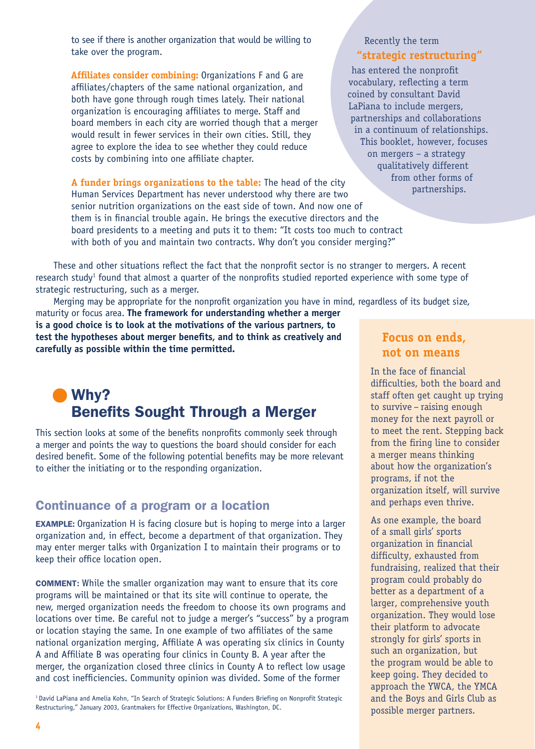to see if there is another organization that would be willing to take over the program.

**Affiliates consider combining:** Organizations F and G are affiliates/chapters of the same national organization, and both have gone through rough times lately. Their national organization is encouraging affiliates to merge. Staff and board members in each city are worried though that a merger would result in fewer services in their own cities. Still, they agree to explore the idea to see whether they could reduce costs by combining into one affiliate chapter.

**A funder brings organizations to the table:** The head of the city Human Services Department has never understood why there are two senior nutrition organizations on the east side of town. And now one of them is in financial trouble again. He brings the executive directors and the board presidents to a meeting and puts it to them: "It costs too much to contract with both of you and maintain two contracts. Why don't you consider merging?"

### Recently the term **"strategic restructuring"**

has entered the nonprofit vocabulary, reflecting a term coined by consultant David LaPiana to include mergers, partnerships and collaborations in a continuum of relationships. This booklet, however, focuses on mergers – a strategy qualitatively different from other forms of partnerships.

These and other situations reflect the fact that the nonprofit sector is no stranger to mergers. A recent research study<sup>1</sup> found that almost a quarter of the nonprofits studied reported experience with some type of strategic restructuring, such as a merger.

Merging may be appropriate for the nonprofit organization you have in mind, regardless of its budget size,

maturity or focus area. **The framework for understanding whether a merger is a good choice is to look at the motivations of the various partners, to test the hypotheses about merger benefits, and to think as creatively and carefully as possible within the time permitted.** 

# **Nhy?** Benefits Sought Through a Merger

This section looks at some of the benefits nonprofits commonly seek through a merger and points the way to questions the board should consider for each desired benefit. Some of the following potential benefits may be more relevant to either the initiating or to the responding organization.

### Continuance of a program or a location

**EXAMPLE:** Organization H is facing closure but is hoping to merge into a larger organization and, in effect, become a department of that organization. They may enter merger talks with Organization I to maintain their programs or to keep their office location open.

COMMENT: While the smaller organization may want to ensure that its core programs will be maintained or that its site will continue to operate, the new, merged organization needs the freedom to choose its own programs and locations over time. Be careful not to judge a merger's "success" by a program or location staying the same. In one example of two affiliates of the same national organization merging, Affiliate A was operating six clinics in County A and Affiliate B was operating four clinics in County B. A year after the merger, the organization closed three clinics in County A to reflect low usage and cost inefficiencies. Community opinion was divided. Some of the former

<sup>1</sup> David LaPiana and Amelia Kohn, "In Search of Strategic Solutions: A Funders Briefing on Nonprofit Strategic Restructuring," January 2003, Grantmakers for Effective Organizations, Washington, DC.

### **Focus on ends, not on means**

In the face of financial difficulties, both the board and staff often get caught up trying to survive – raising enough money for the next payroll or to meet the rent. Stepping back from the firing line to consider a merger means thinking about how the organization's programs, if not the organization itself, will survive and perhaps even thrive.

As one example, the board of a small girls' sports organization in financial difficulty, exhausted from fundraising, realized that their program could probably do better as a department of a larger, comprehensive youth organization. They would lose their platform to advocate strongly for girls' sports in such an organization, but the program would be able to keep going. They decided to approach the YWCA, the YMCA and the Boys and Girls Club as possible merger partners.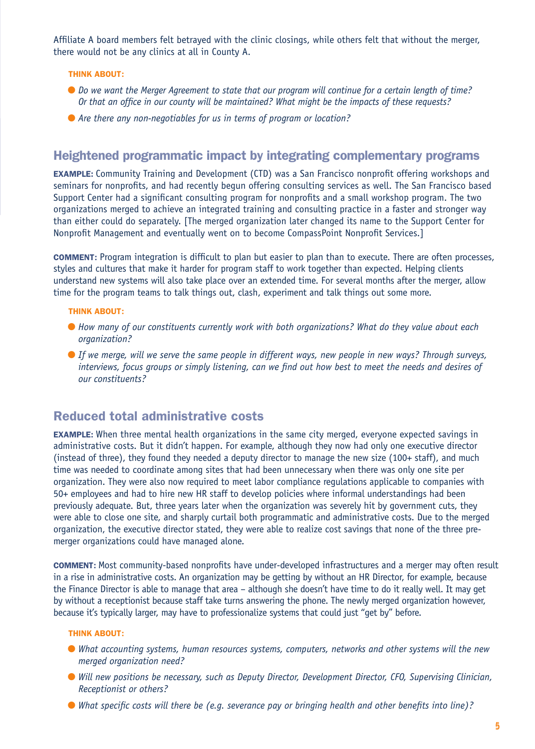Affiliate A board members felt betrayed with the clinic closings, while others felt that without the merger, there would not be any clinics at all in County A.

#### THINK ABOUT:

- ● *Do we want the Merger Agreement to state that our program will continue for a certain length of time? Or that an office in our county will be maintained? What might be the impacts of these requests?*
- Are there any non-negotiables for us in terms of program or location?

# Heightened programmatic impact by integrating complementary programs

EXAMPLE: Community Training and Development (CTD) was a San Francisco nonprofit offering workshops and seminars for nonprofits, and had recently begun offering consulting services as well. The San Francisco based Support Center had a significant consulting program for nonprofits and a small workshop program. The two organizations merged to achieve an integrated training and consulting practice in a faster and stronger way than either could do separately. [The merged organization later changed its name to the Support Center for Nonprofit Management and eventually went on to become CompassPoint Nonprofit Services.]

COMMENT: Program integration is difficult to plan but easier to plan than to execute. There are often processes, styles and cultures that make it harder for program staff to work together than expected. Helping clients understand new systems will also take place over an extended time. For several months after the merger, allow time for the program teams to talk things out, clash, experiment and talk things out some more.

#### THINK ABOUT:

- How many of our constituents currently work with both organizations? What do they value about each *organization?*
- If we merge, will we serve the same people in different ways, new people in new ways? Through surveys, *interviews, focus groups or simply listening, can we find out how best to meet the needs and desires of our constituents?*

### Reduced total administrative costs

EXAMPLE: When three mental health organizations in the same city merged, everyone expected savings in administrative costs. But it didn't happen. For example, although they now had only one executive director (instead of three), they found they needed a deputy director to manage the new size (100+ staff), and much time was needed to coordinate among sites that had been unnecessary when there was only one site per organization. They were also now required to meet labor compliance regulations applicable to companies with 50+ employees and had to hire new HR staff to develop policies where informal understandings had been previously adequate. But, three years later when the organization was severely hit by government cuts, they were able to close one site, and sharply curtail both programmatic and administrative costs. Due to the merged organization, the executive director stated, they were able to realize cost savings that none of the three premerger organizations could have managed alone.

COMMENT: Most community-based nonprofits have under-developed infrastructures and a merger may often result in a rise in administrative costs. An organization may be getting by without an HR Director, for example, because the Finance Director is able to manage that area – although she doesn't have time to do it really well. It may get by without a receptionist because staff take turns answering the phone. The newly merged organization however, because it's typically larger, may have to professionalize systems that could just "get by" before.

#### THINK ABOUT:

- *What accounting systems, human resources systems, computers, networks and other systems will the new merged organization need?*
- *Will new positions be necessary, such as Deputy Director, Development Director, CFO, Supervising Clinician, Receptionist or others?*
- ● *What specific costs will there be (e.g. severance pay or bringing health and other benefits into line)?*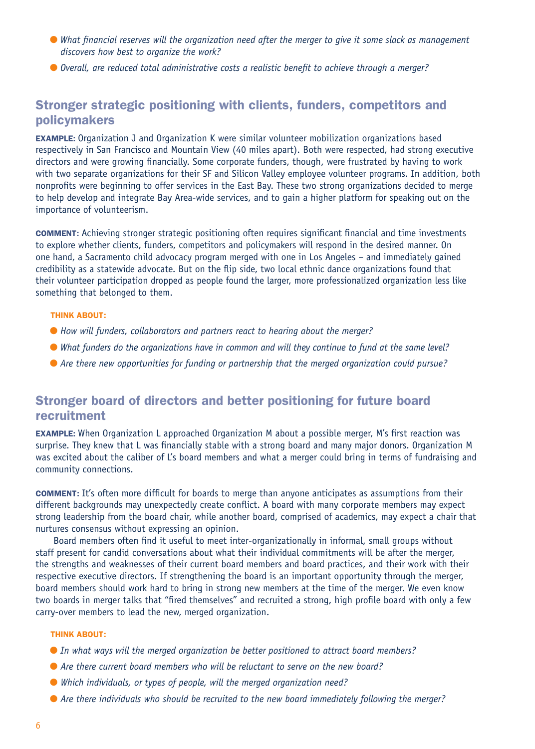- What financial reserves will the organization need after the merger to give it some slack as management *discovers how best to organize the work?*
- ● *Overall, are reduced total administrative costs a realistic benefit to achieve through a merger?*

### Stronger strategic positioning with clients, funders, competitors and policymakers

EXAMPLE: Organization J and Organization K were similar volunteer mobilization organizations based respectively in San Francisco and Mountain View (40 miles apart). Both were respected, had strong executive directors and were growing financially. Some corporate funders, though, were frustrated by having to work with two separate organizations for their SF and Silicon Valley employee volunteer programs. In addition, both nonprofits were beginning to offer services in the East Bay. These two strong organizations decided to merge to help develop and integrate Bay Area-wide services, and to gain a higher platform for speaking out on the importance of volunteerism.

COMMENT: Achieving stronger strategic positioning often requires significant financial and time investments to explore whether clients, funders, competitors and policymakers will respond in the desired manner. On one hand, a Sacramento child advocacy program merged with one in Los Angeles – and immediately gained credibility as a statewide advocate. But on the flip side, two local ethnic dance organizations found that their volunteer participation dropped as people found the larger, more professionalized organization less like something that belonged to them.

#### THINK ABOUT:

- How will funders, collaborators and partners react to hearing about the merger?
- ● *What funders do the organizations have in common and will they continue to fund at the same level?*
- Are there new opportunities for funding or partnership that the merged organization could pursue?

## Stronger board of directors and better positioning for future board recruitment

EXAMPLE: When Organization L approached Organization M about a possible merger, M's first reaction was surprise. They knew that L was financially stable with a strong board and many major donors. Organization M was excited about the caliber of L's board members and what a merger could bring in terms of fundraising and community connections.

COMMENT: It's often more difficult for boards to merge than anyone anticipates as assumptions from their different backgrounds may unexpectedly create conflict. A board with many corporate members may expect strong leadership from the board chair, while another board, comprised of academics, may expect a chair that nurtures consensus without expressing an opinion.

Board members often find it useful to meet inter-organizationally in informal, small groups without staff present for candid conversations about what their individual commitments will be after the merger, the strengths and weaknesses of their current board members and board practices, and their work with their respective executive directors. If strengthening the board is an important opportunity through the merger, board members should work hard to bring in strong new members at the time of the merger. We even know two boards in merger talks that "fired themselves" and recruited a strong, high profile board with only a few carry-over members to lead the new, merged organization.

#### THINK ABOUT:

- In what ways will the merged organization be better positioned to attract board members?
- Are there current board members who will be reluctant to serve on the new board?
- Which individuals, or types of people, will the merged organization need?
- Are there individuals who should be recruited to the new board immediately following the merger?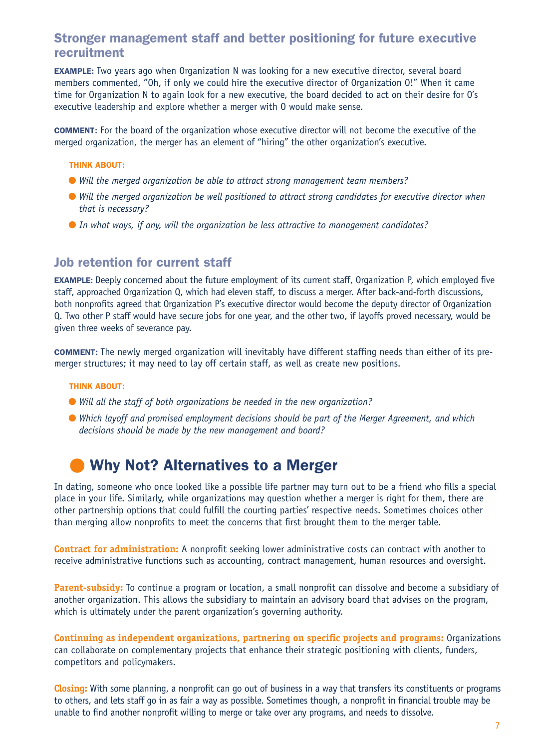### Stronger management staff and better positioning for future executive recruitment

EXAMPLE: Two years ago when Organization N was looking for a new executive director, several board members commented, "Oh, if only we could hire the executive director of Organization O!" When it came time for Organization N to again look for a new executive, the board decided to act on their desire for O's executive leadership and explore whether a merger with O would make sense.

COMMENT: For the board of the organization whose executive director will not become the executive of the merged organization, the merger has an element of "hiring" the other organization's executive.

#### THINK ABOUT:

- ● *Will the merged organization be able to attract strong management team members?*
- Will the merged organization be well positioned to attract strong candidates for executive director when *that is necessary?*
- ● *In what ways, if any, will the organization be less attractive to management candidates?*

#### Job retention for current staff

EXAMPLE: Deeply concerned about the future employment of its current staff, Organization P, which employed five staff, approached Organization Q, which had eleven staff, to discuss a merger. After back-and-forth discussions, both nonprofits agreed that Organization P's executive director would become the deputy director of Organization Q. Two other P staff would have secure jobs for one year, and the other two, if layoffs proved necessary, would be given three weeks of severance pay.

COMMENT: The newly merged organization will inevitably have different staffing needs than either of its premerger structures; it may need to lay off certain staff, as well as create new positions.

#### THINK ABOUT:

- *Will all the staff of both organizations be needed in the new organization?*
- Which layoff and promised employment decisions should be part of the Merger Agreement, and which *decisions should be made by the new management and board?*

# Why Not? Alternatives to a Merger

In dating, someone who once looked like a possible life partner may turn out to be a friend who fills a special place in your life. Similarly, while organizations may question whether a merger is right for them, there are other partnership options that could fulfill the courting parties' respective needs. Sometimes choices other than merging allow nonprofits to meet the concerns that first brought them to the merger table.

**Contract for administration:** A nonprofit seeking lower administrative costs can contract with another to receive administrative functions such as accounting, contract management, human resources and oversight.

**Parent-subsidy:** To continue a program or location, a small nonprofit can dissolve and become a subsidiary of another organization. This allows the subsidiary to maintain an advisory board that advises on the program, which is ultimately under the parent organization's governing authority.

**Continuing as independent organizations, partnering on specific projects and programs:** Organizations can collaborate on complementary projects that enhance their strategic positioning with clients, funders, competitors and policymakers.

**Closing:** With some planning, a nonprofit can go out of business in a way that transfers its constituents or programs to others, and lets staff go in as fair a way as possible. Sometimes though, a nonprofit in financial trouble may be unable to find another nonprofit willing to merge or take over any programs, and needs to dissolve.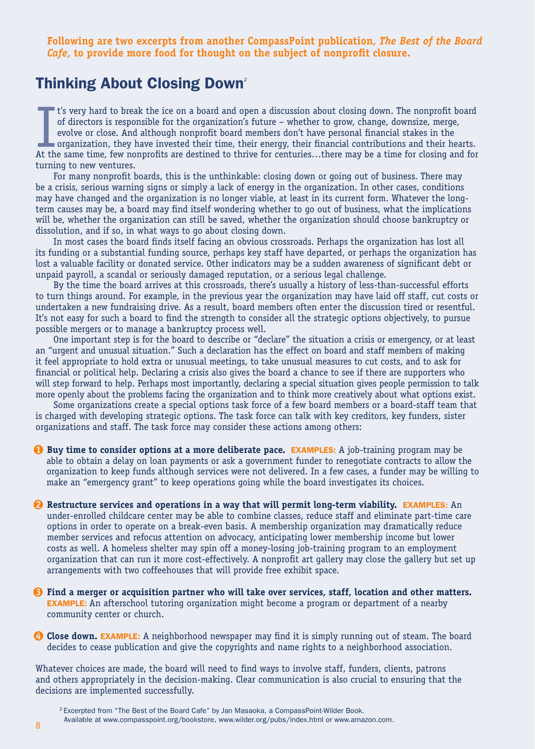#### **Following are two excerpts from another CompassPoint publication,** *The Best of the Board Cafe***, to provide more food for thought on the subject of nonprofit closure.**

# Thinking About Closing Down<sup>2</sup>

I's very hard to break the ice on a board and open a discussion about closing down. The nonprofit board of directors is responsible for the organization's future – whether to grow, change, downsize, merge, evolve or close. t's very hard to break the ice on a board and open a discussion about closing down. The nonprofit board of directors is responsible for the organization's future – whether to grow, change, downsize, merge, evolve or close. And although nonprofit board members don't have personal financial stakes in the **OF** organization, they have invested their time, their energy, their financial contributions and their hearts. turning to new ventures.

For many nonprofit boards, this is the unthinkable: closing down or going out of business. There may be a crisis, serious warning signs or simply a lack of energy in the organization. In other cases, conditions may have changed and the organization is no longer viable, at least in its current form. Whatever the longterm causes may be, a board may find itself wondering whether to go out of business, what the implications will be, whether the organization can still be saved, whether the organization should choose bankruptcy or dissolution, and if so, in what ways to go about closing down.

In most cases the board finds itself facing an obvious crossroads. Perhaps the organization has lost all its funding or a substantial funding source, perhaps key staff have departed, or perhaps the organization has lost a valuable facility or donated service. Other indicators may be a sudden awareness of significant debt or unpaid payroll, a scandal or seriously damaged reputation, or a serious legal challenge.

By the time the board arrives at this crossroads, there's usually a history of less-than-successful efforts to turn things around. For example, in the previous year the organization may have laid off staff, cut costs or undertaken a new fundraising drive. As a result, board members often enter the discussion tired or resentful. It's not easy for such a board to find the strength to consider all the strategic options objectively, to pursue possible mergers or to manage a bankruptcy process well.

One important step is for the board to describe or "declare" the situation a crisis or emergency, or at least an "urgent and unusual situation." Such a declaration has the effect on board and staff members of making it feel appropriate to hold extra or unusual meetings, to take unusual measures to cut costs, and to ask for financial or political help. Declaring a crisis also gives the board a chance to see if there are supporters who will step forward to help. Perhaps most importantly, declaring a special situation gives people permission to talk more openly about the problems facing the organization and to think more creatively about what options exist.

Some organizations create a special options task force of a few board members or a board-staff team that is charged with developing strategic options. The task force can talk with key creditors, key funders, sister organizations and staff. The task force may consider these actions among others:

- **1** Buy time to consider options at a more deliberate pace. EXAMPLES: A job-training program may be able to obtain a delay on loan payments or ask a government funder to renegotiate contracts to allow the organization to keep funds although services were not delivered. In a few cases, a funder may be willing to make an "emergency grant" to keep operations going while the board investigates its choices.
- **2** Restructure services and operations in a way that will permit long-term viability. EXAMPLES: An under-enrolled childcare center may be able to combine classes, reduce staff and eliminate part-time care options in order to operate on a break-even basis. A membership organization may dramatically reduce member services and refocus attention on advocacy, anticipating lower membership income but lower costs as well. A homeless shelter may spin off a money-losing job-training program to an employment organization that can run it more cost-effectively. A nonprofit art gallery may close the gallery but set up arrangements with two coffeehouses that will provide free exhibit space.

**3** Find a merger or acquisition partner who will take over services, staff, location and other matters. EXAMPLE: An afterschool tutoring organization might become a program or department of a nearby community center or church.

**4 Close down. EXAMPLE:** A neighborhood newspaper may find it is simply running out of steam. The board decides to cease publication and give the copyrights and name rights to a neighborhood association.

Whatever choices are made, the board will need to find ways to involve staff, funders, clients, patrons and others appropriately in the decision-making. Clear communication is also crucial to ensuring that the decisions are implemented successfully.

<sup>&</sup>lt;sup>2</sup> Excerpted from "The Best of the Board Cafe" by Jan Masaoka, a CompassPoint-Wilder Book.

Available at www.compasspoint.org/bookstore, www.wilder.org/pubs/index.html or www.amazon.com.<br>8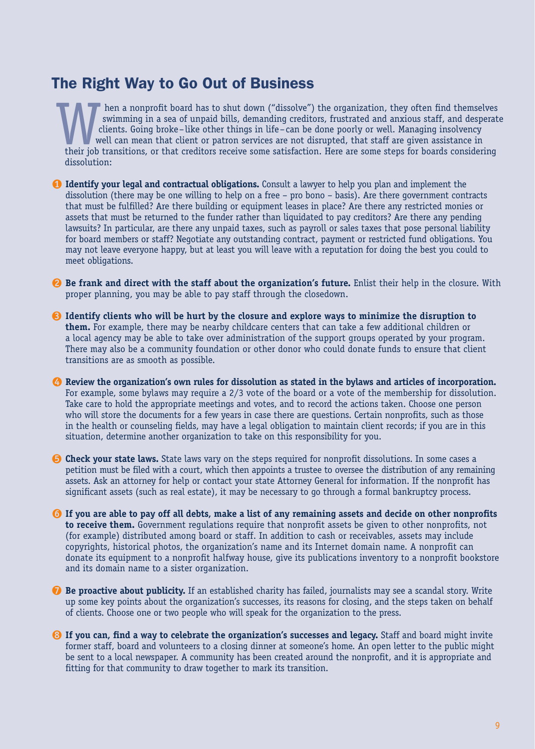# The Right Way to Go Out of Business

hen a nonprofit board has to shut down ("dissolve") the organization, they often find themselves swimming in a sea of unpaid bills, demanding creditors, frustrated and anxious staff, and desperate clients. Going broke–like other things in life–can be done poorly or well. Managing insolvency well can mean that client or patron services are not disrupted, that staff are given assistance in then a nonprofit board has to shut down ("dissolve") the organization, they often find themselves swimming in a sea of unpaid bills, demanding creditors, frustrated and anxious staff, and desperat clients. Going broke–like dissolution:

**1 Identify your legal and contractual obligations.** Consult a lawyer to help you plan and implement the dissolution (there may be one willing to help on a free – pro bono – basis). Are there government contracts that must be fulfilled? Are there building or equipment leases in place? Are there any restricted monies or assets that must be returned to the funder rather than liquidated to pay creditors? Are there any pending lawsuits? In particular, are there any unpaid taxes, such as payroll or sales taxes that pose personal liability for board members or staff? Negotiate any outstanding contract, payment or restricted fund obligations. You may not leave everyone happy, but at least you will leave with a reputation for doing the best you could to meet obligations.

<sup>2</sup> Be frank and direct with the staff about the organization's future. Enlist their help in the closure. With proper planning, you may be able to pay staff through the closedown.

**3** Identify clients who will be hurt by the closure and explore ways to minimize the disruption to **them.** For example, there may be nearby childcare centers that can take a few additional children or a local agency may be able to take over administration of the support groups operated by your program. There may also be a community foundation or other donor who could donate funds to ensure that client transitions are as smooth as possible.

4 **Review the organization's own rules for dissolution as stated in the bylaws and articles of incorporation.** For example, some bylaws may require a 2/3 vote of the board or a vote of the membership for dissolution. Take care to hold the appropriate meetings and votes, and to record the actions taken. Choose one person who will store the documents for a few years in case there are questions. Certain nonprofits, such as those in the health or counseling fields, may have a legal obligation to maintain client records; if you are in this situation, determine another organization to take on this responsibility for you.

**6 Check your state laws.** State laws vary on the steps required for nonprofit dissolutions. In some cases a petition must be filed with a court, which then appoints a trustee to oversee the distribution of any remaining assets. Ask an attorney for help or contact your state Attorney General for information. If the nonprofit has significant assets (such as real estate), it may be necessary to go through a formal bankruptcy process.

6 **If you are able to pay off all debts, make a list of any remaining assets and decide on other nonprofits to receive them.** Government regulations require that nonprofit assets be given to other nonprofits, not (for example) distributed among board or staff. In addition to cash or receivables, assets may include copyrights, historical photos, the organization's name and its Internet domain name. A nonprofit can donate its equipment to a nonprofit halfway house, give its publications inventory to a nonprofit bookstore and its domain name to a sister organization.

**7** Be proactive about publicity. If an established charity has failed, journalists may see a scandal story. Write up some key points about the organization's successes, its reasons for closing, and the steps taken on behalf of clients. Choose one or two people who will speak for the organization to the press.

<sup>8</sup> If you can, find a way to celebrate the organization's successes and legacy. Staff and board might invite former staff, board and volunteers to a closing dinner at someone's home. An open letter to the public might be sent to a local newspaper. A community has been created around the nonprofit, and it is appropriate and fitting for that community to draw together to mark its transition.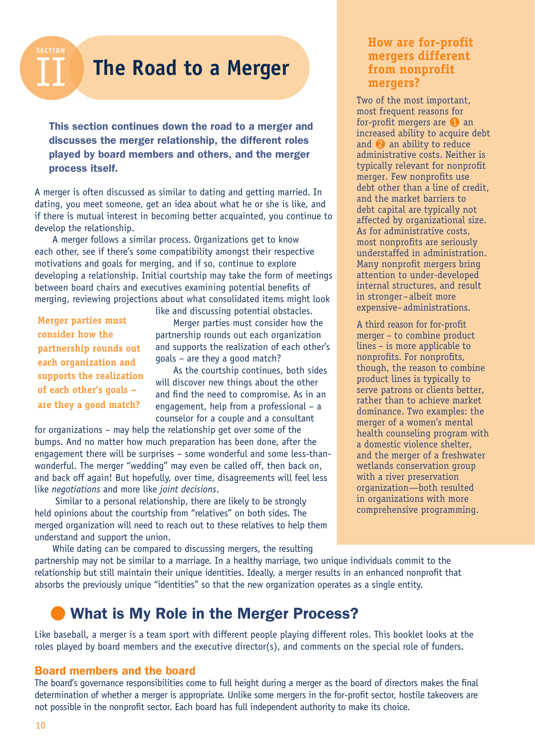II

# **The Road to a Merger**

 This section continues down the road to a merger and discusses the merger relationship, the different roles played by board members and others, and the merger process itself.

A merger is often discussed as similar to dating and getting married. In dating, you meet someone, get an idea about what he or she is like, and if there is mutual interest in becoming better acquainted, you continue to develop the relationship.

A merger follows a similar process. Organizations get to know each other, see if there's some compatibility amongst their respective motivations and goals for merging, and if so, continue to explore developing a relationship. Initial courtship may take the form of meetings between board chairs and executives examining potential benefits of merging, reviewing projections about what consolidated items might look like and discussing potential obstacles.

**Merger parties must consider how the partnership rounds out each organization and supports the realization of each other's goals – are they a good match?**

Merger parties must consider how the partnership rounds out each organization and supports the realization of each other's goals – are they a good match?

As the courtship continues, both sides will discover new things about the other and find the need to compromise. As in an engagement, help from a professional – a counselor for a couple and a consultant

for organizations – may help the relationship get over some of the bumps. And no matter how much preparation has been done, after the engagement there will be surprises – some wonderful and some less-thanwonderful. The merger "wedding" may even be called off, then back on, and back off again! But hopefully, over time, disagreements will feel less like *negotiations* and more like *joint decisions*.

 Similar to a personal relationship, there are likely to be strongly held opinions about the courtship from "relatives" on both sides. The merged organization will need to reach out to these relatives to help them understand and support the union.

While dating can be compared to discussing mergers, the resulting partnership may not be similar to a marriage. In a healthy marriage, two unique individuals commit to the relationship but still maintain their unique identities. Ideally, a merger results in an enhanced nonprofit that absorbs the previously unique "identities" so that the new organization operates as a single entity.

# **What is My Role in the Merger Process?**

Like baseball, a merger is a team sport with different people playing different roles. This booklet looks at the roles played by board members and the executive director(s), and comments on the special role of funders.

#### Board members and the board

The board's governance responsibilities come to full height during a merger as the board of directors makes the final determination of whether a merger is appropriate. Unlike some mergers in the for-profit sector, hostile takeovers are not possible in the nonprofit sector. Each board has full independent authority to make its choice.

#### **How are for-profit mergers different from nonprofit mergers?**

Two of the most important, most frequent reasons for for-profit mergers are  $\bullet$  an increased ability to acquire debt and  $\bullet$  an ability to reduce administrative costs. Neither is typically relevant for nonprofit merger. Few nonprofits use debt other than a line of credit, and the market barriers to debt capital are typically not affected by organizational size. As for administrative costs, most nonprofits are seriously understaffed in administration. Many nonprofit mergers bring attention to under-developed internal structures, and result in stronger–albeit more expensive–administrations.

A third reason for for-profit merger – to combine product lines – is more applicable to nonprofits. For nonprofits, though, the reason to combine product lines is typically to serve patrons or clients better, rather than to achieve market dominance. Two examples: the merger of a women's mental health counseling program with a domestic violence shelter, and the merger of a freshwater wetlands conservation group with a river preservation organization—both resulted in organizations with more comprehensive programming.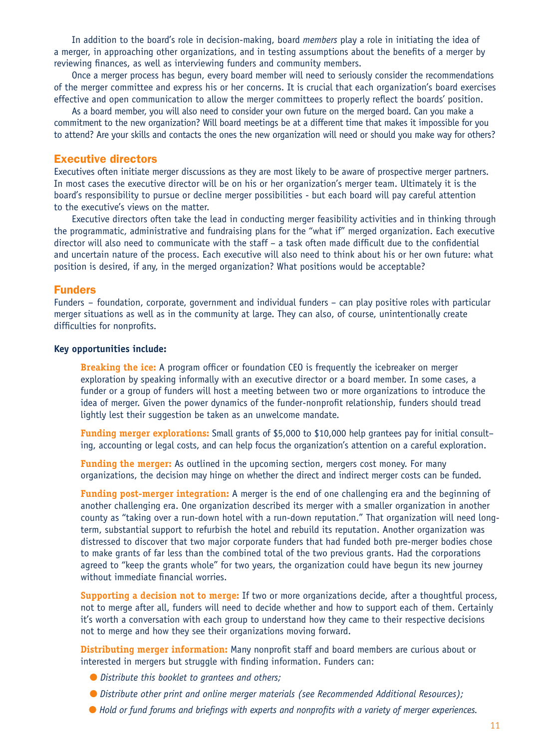In addition to the board's role in decision-making, board *members* play a role in initiating the idea of a merger, in approaching other organizations, and in testing assumptions about the benefits of a merger by reviewing finances, as well as interviewing funders and community members.

Once a merger process has begun, every board member will need to seriously consider the recommendations of the merger committee and express his or her concerns. It is crucial that each organization's board exercises effective and open communication to allow the merger committees to properly reflect the boards' position.

As a board member, you will also need to consider your own future on the merged board. Can you make a commitment to the new organization? Will board meetings be at a different time that makes it impossible for you to attend? Are your skills and contacts the ones the new organization will need or should you make way for others?

#### Executive directors

Executives often initiate merger discussions as they are most likely to be aware of prospective merger partners. In most cases the executive director will be on his or her organization's merger team. Ultimately it is the board's responsibility to pursue or decline merger possibilities - but each board will pay careful attention to the executive's views on the matter.

Executive directors often take the lead in conducting merger feasibility activities and in thinking through the programmatic, administrative and fundraising plans for the "what if" merged organization. Each executive director will also need to communicate with the staff – a task often made difficult due to the confidential and uncertain nature of the process. Each executive will also need to think about his or her own future: what position is desired, if any, in the merged organization? What positions would be acceptable?

#### **Funders**

Funders – foundation, corporate, government and individual funders – can play positive roles with particular merger situations as well as in the community at large. They can also, of course, unintentionally create difficulties for nonprofits.

#### **Key opportunities include:**

**Breaking the ice:** A program officer or foundation CEO is frequently the icebreaker on merger exploration by speaking informally with an executive director or a board member. In some cases, a funder or a group of funders will host a meeting between two or more organizations to introduce the idea of merger. Given the power dynamics of the funder-nonprofit relationship, funders should tread lightly lest their suggestion be taken as an unwelcome mandate.

**Funding merger explorations:** Small grants of \$5,000 to \$10,000 help grantees pay for initial consult– ing, accounting or legal costs, and can help focus the organization's attention on a careful exploration.

Funding the merger: As outlined in the upcoming section, mergers cost money. For many organizations, the decision may hinge on whether the direct and indirect merger costs can be funded.

**Funding post-merger integration:** A merger is the end of one challenging era and the beginning of another challenging era. One organization described its merger with a smaller organization in another county as "taking over a run-down hotel with a run-down reputation." That organization will need longterm, substantial support to refurbish the hotel and rebuild its reputation. Another organization was distressed to discover that two major corporate funders that had funded both pre-merger bodies chose to make grants of far less than the combined total of the two previous grants. Had the corporations agreed to "keep the grants whole" for two years, the organization could have begun its new journey without immediate financial worries.

**Supporting a decision not to merge:** If two or more organizations decide, after a thoughtful process, not to merge after all, funders will need to decide whether and how to support each of them. Certainly it's worth a conversation with each group to understand how they came to their respective decisions not to merge and how they see their organizations moving forward.

**Distributing merger information:** Many nonprofit staff and board members are curious about or interested in mergers but struggle with finding information. Funders can:

- ● *Distribute this booklet to grantees and others;*
- *Distribute other print and online merger materials (see Recommended Additional Resources);*
- Hold or fund forums and briefings with experts and nonprofits with a variety of merger experiences.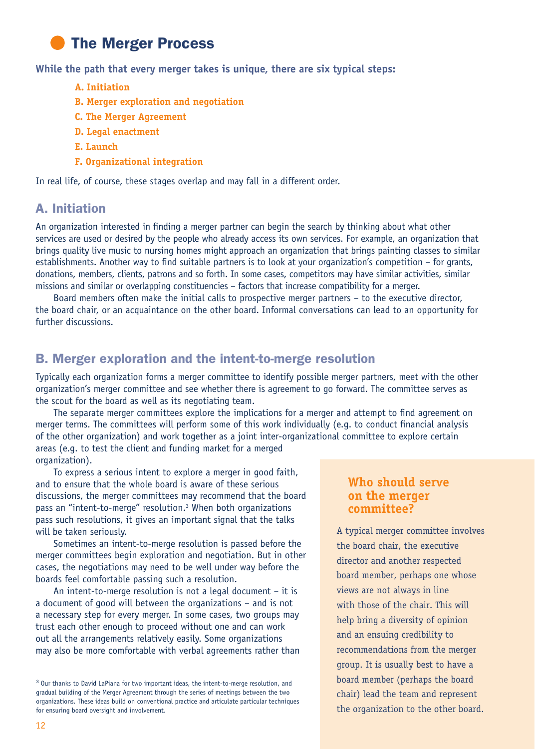# **The Merger Process**

**While the path that every merger takes is unique, there are six typical steps:**

- **A. Initiation**
- **B. Merger exploration and negotiation**
- **C. The Merger Agreement**
- **D. Legal enactment**
- **E. Launch**
- **F. Organizational integration**

In real life, of course, these stages overlap and may fall in a different order.

### A. Initiation

An organization interested in finding a merger partner can begin the search by thinking about what other services are used or desired by the people who already access its own services. For example, an organization that brings quality live music to nursing homes might approach an organization that brings painting classes to similar establishments. Another way to find suitable partners is to look at your organization's competition – for grants, donations, members, clients, patrons and so forth. In some cases, competitors may have similar activities, similar missions and similar or overlapping constituencies – factors that increase compatibility for a merger.

Board members often make the initial calls to prospective merger partners – to the executive director, the board chair, or an acquaintance on the other board. Informal conversations can lead to an opportunity for further discussions.

#### B. Merger exploration and the intent-to-merge resolution

Typically each organization forms a merger committee to identify possible merger partners, meet with the other organization's merger committee and see whether there is agreement to go forward. The committee serves as the scout for the board as well as its negotiating team.

The separate merger committees explore the implications for a merger and attempt to find agreement on merger terms. The committees will perform some of this work individually (e.g. to conduct financial analysis of the other organization) and work together as a joint inter-organizational committee to explore certain areas (e.g. to test the client and funding market for a merged organization).

To express a serious intent to explore a merger in good faith, and to ensure that the whole board is aware of these serious discussions, the merger committees may recommend that the board pass an "intent-to-merge" resolution.<sup>3</sup> When both organizations pass such resolutions, it gives an important signal that the talks will be taken seriously.

Sometimes an intent-to-merge resolution is passed before the merger committees begin exploration and negotiation. But in other cases, the negotiations may need to be well under way before the boards feel comfortable passing such a resolution.

An intent-to-merge resolution is not a legal document – it is a document of good will between the organizations – and is not a necessary step for every merger. In some cases, two groups may trust each other enough to proceed without one and can work out all the arrangements relatively easily. Some organizations may also be more comfortable with verbal agreements rather than

#### **Who should serve on the merger committee?**

A typical merger committee involves the board chair, the executive director and another respected board member, perhaps one whose views are not always in line with those of the chair. This will help bring a diversity of opinion and an ensuing credibility to recommendations from the merger group. It is usually best to have a board member (perhaps the board chair) lead the team and represent the organization to the other board.

<sup>&</sup>lt;sup>3</sup> Our thanks to David LaPiana for two important ideas, the intent-to-merge resolution, and gradual building of the Merger Agreement through the series of meetings between the two organizations. These ideas build on conventional practice and articulate particular techniques for ensuring board oversight and involvement.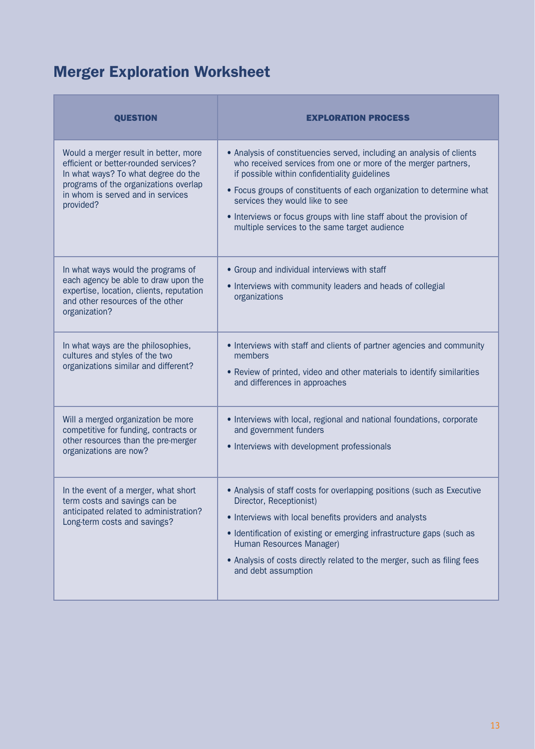# Merger Exploration Worksheet

| <b>QUESTION</b>                                                                                                                                                                                                  | <b>EXPLORATION PROCESS</b>                                                                                                                                                                                                                                                                                                                                                                                                   |
|------------------------------------------------------------------------------------------------------------------------------------------------------------------------------------------------------------------|------------------------------------------------------------------------------------------------------------------------------------------------------------------------------------------------------------------------------------------------------------------------------------------------------------------------------------------------------------------------------------------------------------------------------|
| Would a merger result in better, more<br>efficient or better-rounded services?<br>In what ways? To what degree do the<br>programs of the organizations overlap<br>in whom is served and in services<br>provided? | • Analysis of constituencies served, including an analysis of clients<br>who received services from one or more of the merger partners,<br>if possible within confidentiality guidelines<br>• Focus groups of constituents of each organization to determine what<br>services they would like to see<br>• Interviews or focus groups with line staff about the provision of<br>multiple services to the same target audience |
| In what ways would the programs of<br>each agency be able to draw upon the<br>expertise, location, clients, reputation<br>and other resources of the other<br>organization?                                      | • Group and individual interviews with staff<br>• Interviews with community leaders and heads of collegial<br>organizations                                                                                                                                                                                                                                                                                                  |
| In what ways are the philosophies,<br>cultures and styles of the two<br>organizations similar and different?                                                                                                     | • Interviews with staff and clients of partner agencies and community<br>members<br>• Review of printed, video and other materials to identify similarities<br>and differences in approaches                                                                                                                                                                                                                                 |
| Will a merged organization be more<br>competitive for funding, contracts or<br>other resources than the pre-merger<br>organizations are now?                                                                     | • Interviews with local, regional and national foundations, corporate<br>and government funders<br>• Interviews with development professionals                                                                                                                                                                                                                                                                               |
| In the event of a merger, what short<br>term costs and savings can be<br>anticipated related to administration?<br>Long-term costs and savings?                                                                  | • Analysis of staff costs for overlapping positions (such as Executive<br>Director, Receptionist)<br>• Interviews with local benefits providers and analysts<br>• Identification of existing or emerging infrastructure gaps (such as<br>Human Resources Manager)<br>• Analysis of costs directly related to the merger, such as filing fees<br>and debt assumption                                                          |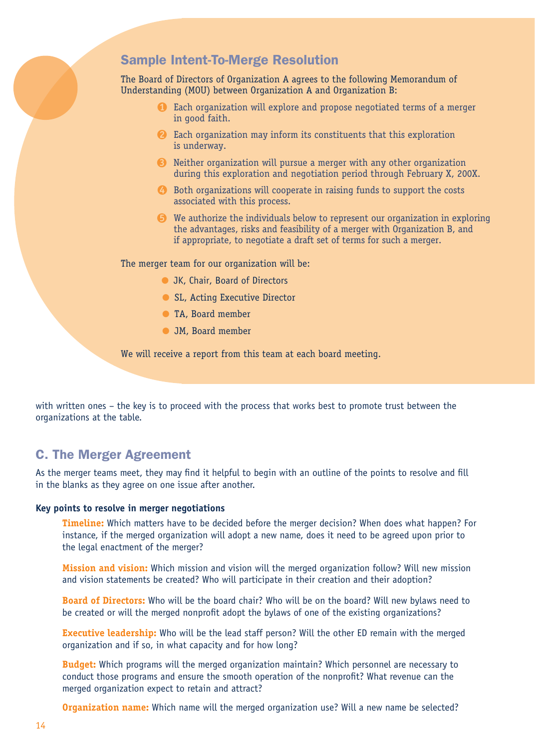

# Sample Intent-To-Merge Resolution

The Board of Directors of Organization A agrees to the following Memorandum of Understanding (MOU) between Organization A and Organization B:

- **1** Each organization will explore and propose negotiated terms of a merger in good faith.
- 2 Each organization may inform its constituents that this exploration is underway.
- 3 Neither organization will pursue a merger with any other organization during this exploration and negotiation period through February X, 200X.
- 4 Both organizations will cooperate in raising funds to support the costs associated with this process.
- 5 We authorize the individuals below to represent our organization in exploring the advantages, risks and feasibility of a merger with Organization B, and if appropriate, to negotiate a draft set of terms for such a merger.

The merger team for our organization will be:

- ●JK, Chair, Board of Directors
- ●SL, Acting Executive Director
- ●TA, Board member
- ●JM, Board member

We will receive a report from this team at each board meeting.

with written ones – the key is to proceed with the process that works best to promote trust between the organizations at the table.

#### C. The Merger Agreement

As the merger teams meet, they may find it helpful to begin with an outline of the points to resolve and fill in the blanks as they agree on one issue after another.

#### **Key points to resolve in merger negotiations**

**Timeline:** Which matters have to be decided before the merger decision? When does what happen? For instance, if the merged organization will adopt a new name, does it need to be agreed upon prior to the legal enactment of the merger?

**Mission and vision:** Which mission and vision will the merged organization follow? Will new mission and vision statements be created? Who will participate in their creation and their adoption?

**Board of Directors:** Who will be the board chair? Who will be on the board? Will new bylaws need to be created or will the merged nonprofit adopt the bylaws of one of the existing organizations?

**Executive leadership:** Who will be the lead staff person? Will the other ED remain with the merged organization and if so, in what capacity and for how long?

**Budget:** Which programs will the merged organization maintain? Which personnel are necessary to conduct those programs and ensure the smooth operation of the nonprofit? What revenue can the merged organization expect to retain and attract?

**Organization name:** Which name will the merged organization use? Will a new name be selected?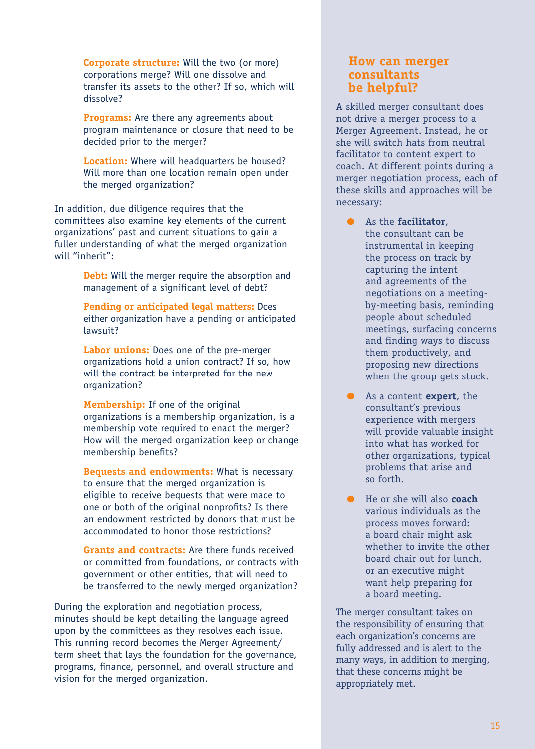**Corporate structure:** Will the two (or more) corporations merge? Will one dissolve and transfer its assets to the other? If so, which will dissolve?

**Programs:** Are there any agreements about program maintenance or closure that need to be decided prior to the merger?

**Location:** Where will headquarters be housed? Will more than one location remain open under the merged organization?

In addition, due diligence requires that the committees also examine key elements of the current organizations' past and current situations to gain a fuller understanding of what the merged organization will "inherit":

> **Debt:** Will the merger require the absorption and management of a significant level of debt?

**Pending or anticipated legal matters:** Does either organization have a pending or anticipated lawsuit?

**Labor unions:** Does one of the pre-merger organizations hold a union contract? If so, how will the contract be interpreted for the new organization?

**Membership:** If one of the original organizations is a membership organization, is a membership vote required to enact the merger? How will the merged organization keep or change membership benefits?

**Bequests and endowments:** What is necessary to ensure that the merged organization is eligible to receive bequests that were made to one or both of the original nonprofits? Is there an endowment restricted by donors that must be accommodated to honor those restrictions?

**Grants and contracts:** Are there funds received or committed from foundations, or contracts with government or other entities, that will need to be transferred to the newly merged organization?

During the exploration and negotiation process, minutes should be kept detailing the language agreed upon by the committees as they resolves each issue. This running record becomes the Merger Agreement/ term sheet that lays the foundation for the governance, programs, finance, personnel, and overall structure and vision for the merged organization.

#### **How can merger consultants be helpful?**

A skilled merger consultant does not drive a merger process to a Merger Agreement. Instead, he or she will switch hats from neutral facilitator to content expert to coach. At different points during a merger negotiation process, each of these skills and approaches will be necessary:

- As the **facilitator**, the consultant can be instrumental in keeping the process on track by capturing the intent and agreements of the negotiations on a meetingby-meeting basis, reminding people about scheduled meetings, surfacing concerns and finding ways to discuss them productively, and proposing new directions when the group gets stuck.
- As a content **expert**, the consultant's previous experience with mergers will provide valuable insight into what has worked for other organizations, typical problems that arise and so forth.
- He or she will also **coach** various individuals as the process moves forward: a board chair might ask whether to invite the other board chair out for lunch, or an executive might want help preparing for a board meeting.

The merger consultant takes on the responsibility of ensuring that each organization's concerns are fully addressed and is alert to the many ways, in addition to merging, that these concerns might be appropriately met.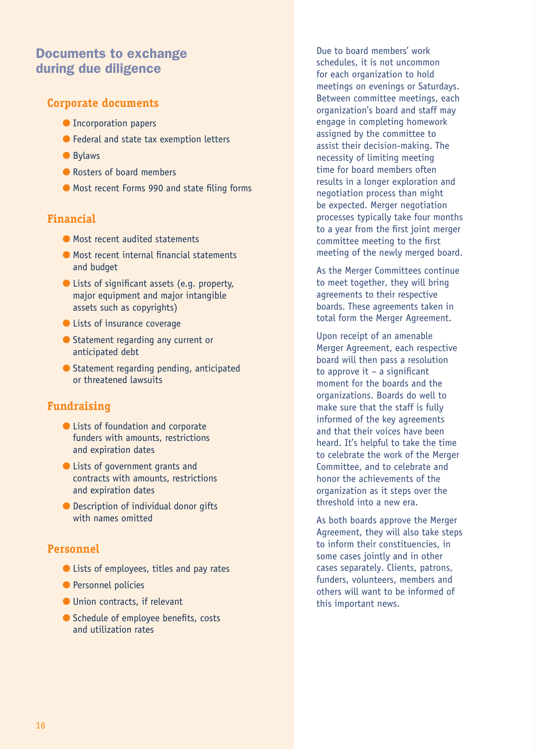# Documents to exchange during due diligence

#### **Corporate documents**

- Incorporation papers
- Federal and state tax exemption letters
- Bylaws
- Rosters of board members
- Most recent Forms 990 and state filing forms

#### **Financial**

- Most recent audited statements
- Most recent internal financial statements and budget
- Lists of significant assets (e.g. property, major equipment and major intangible assets such as copyrights)
- Lists of insurance coverage
- Statement regarding any current or anticipated debt
- Statement regarding pending, anticipated or threatened lawsuits

#### **Fundraising**

- Lists of foundation and corporate funders with amounts, restrictions and expiration dates
- Lists of government grants and contracts with amounts, restrictions and expiration dates
- Description of individual donor gifts with names omitted

#### **Personnel**

- Lists of employees, titles and pay rates
- Personnel policies
- Union contracts, if relevant
- Schedule of employee benefits, costs and utilization rates

Due to board members' work schedules, it is not uncommon for each organization to hold meetings on evenings or Saturdays. Between committee meetings, each organization's board and staff may engage in completing homework assigned by the committee to assist their decision-making. The necessity of limiting meeting time for board members often results in a longer exploration and negotiation process than might be expected. Merger negotiation processes typically take four months to a year from the first joint merger committee meeting to the first meeting of the newly merged board.

As the Merger Committees continue to meet together, they will bring agreements to their respective boards. These agreements taken in total form the Merger Agreement.

Upon receipt of an amenable Merger Agreement, each respective board will then pass a resolution to approve it – a significant moment for the boards and the organizations. Boards do well to make sure that the staff is fully informed of the key agreements and that their voices have been heard. It's helpful to take the time to celebrate the work of the Merger Committee, and to celebrate and honor the achievements of the organization as it steps over the threshold into a new era.

As both boards approve the Merger Agreement, they will also take steps to inform their constituencies, in some cases jointly and in other cases separately. Clients, patrons, funders, volunteers, members and others will want to be informed of this important news.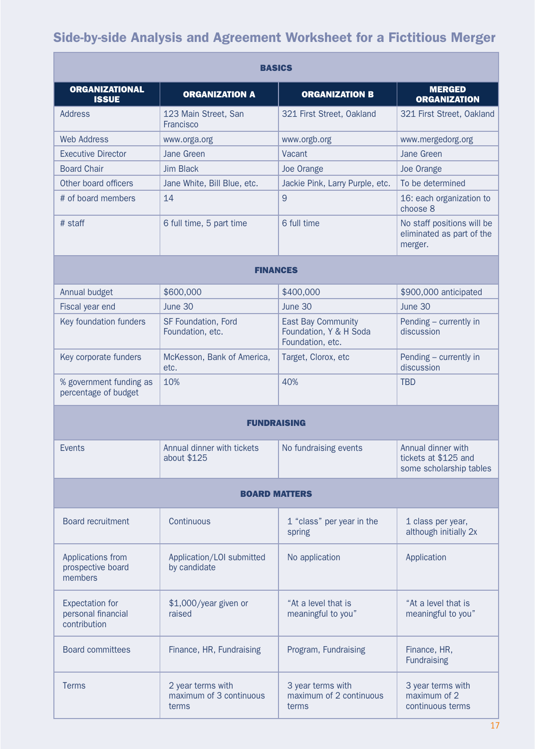# Side-by-side Analysis and Agreement Worksheet for a Fictitious Merger

| <b>BASICS</b>                                                |                                                       |                                                                         |                                                                       |  |  |  |  |  |
|--------------------------------------------------------------|-------------------------------------------------------|-------------------------------------------------------------------------|-----------------------------------------------------------------------|--|--|--|--|--|
| <b>ORGANIZATIONAL</b><br><b>ISSUE</b>                        | <b>ORGANIZATION A</b>                                 | <b>ORGANIZATION B</b>                                                   | <b>MERGED</b><br><b>ORGANIZATION</b>                                  |  |  |  |  |  |
| Address                                                      | 123 Main Street, San<br>Francisco                     | 321 First Street, Oakland                                               | 321 First Street, Oakland                                             |  |  |  |  |  |
| <b>Web Address</b>                                           | www.orga.org                                          | www.orgb.org                                                            | www.mergedorg.org                                                     |  |  |  |  |  |
| <b>Executive Director</b>                                    | Jane Green                                            | Vacant                                                                  | Jane Green                                                            |  |  |  |  |  |
| <b>Board Chair</b>                                           | <b>Jim Black</b>                                      | Joe Orange                                                              | Joe Orange                                                            |  |  |  |  |  |
| Other board officers                                         | Jane White, Bill Blue, etc.                           | Jackie Pink, Larry Purple, etc.                                         | To be determined                                                      |  |  |  |  |  |
| # of board members                                           | 14                                                    | 9                                                                       | 16: each organization to<br>choose 8                                  |  |  |  |  |  |
| # staff                                                      | 6 full time, 5 part time                              | 6 full time                                                             | No staff positions will be<br>eliminated as part of the<br>merger.    |  |  |  |  |  |
|                                                              | <b>FINANCES</b>                                       |                                                                         |                                                                       |  |  |  |  |  |
| Annual budget                                                | \$600,000                                             | \$400,000                                                               | \$900,000 anticipated                                                 |  |  |  |  |  |
| Fiscal year end                                              | June 30                                               | June 30                                                                 | June 30                                                               |  |  |  |  |  |
| Key foundation funders                                       | <b>SF Foundation, Ford</b><br>Foundation, etc.        | <b>East Bay Community</b><br>Foundation, Y & H Soda<br>Foundation, etc. | Pending - currently in<br>discussion                                  |  |  |  |  |  |
| Key corporate funders                                        | McKesson, Bank of America,<br>etc.                    | Target, Clorox, etc                                                     | Pending - currently in<br>discussion                                  |  |  |  |  |  |
| % government funding as<br>percentage of budget              | 10%                                                   | 40%                                                                     | <b>TBD</b>                                                            |  |  |  |  |  |
|                                                              |                                                       | <b>FUNDRAISING</b>                                                      |                                                                       |  |  |  |  |  |
| Events                                                       | Annual dinner with tickets<br>about \$125             | No fundraising events                                                   | Annual dinner with<br>tickets at \$125 and<br>some scholarship tables |  |  |  |  |  |
|                                                              | <b>BOARD MATTERS</b>                                  |                                                                         |                                                                       |  |  |  |  |  |
| <b>Board recruitment</b>                                     | Continuous                                            | 1 "class" per year in the<br>spring                                     | 1 class per year,<br>although initially 2x                            |  |  |  |  |  |
| Applications from<br>prospective board<br>members            | Application/LOI submitted<br>by candidate             | No application                                                          | Application                                                           |  |  |  |  |  |
| <b>Expectation for</b><br>personal financial<br>contribution | \$1,000/year given or<br>raised                       | "At a level that is<br>meaningful to you"                               | "At a level that is<br>meaningful to you"                             |  |  |  |  |  |
| <b>Board committees</b>                                      | Finance, HR, Fundraising                              | Program, Fundraising                                                    | Finance, HR,<br><b>Fundraising</b>                                    |  |  |  |  |  |
| <b>Terms</b>                                                 | 2 year terms with<br>maximum of 3 continuous<br>terms | 3 year terms with<br>maximum of 2 continuous<br>terms                   | 3 year terms with<br>maximum of 2<br>continuous terms                 |  |  |  |  |  |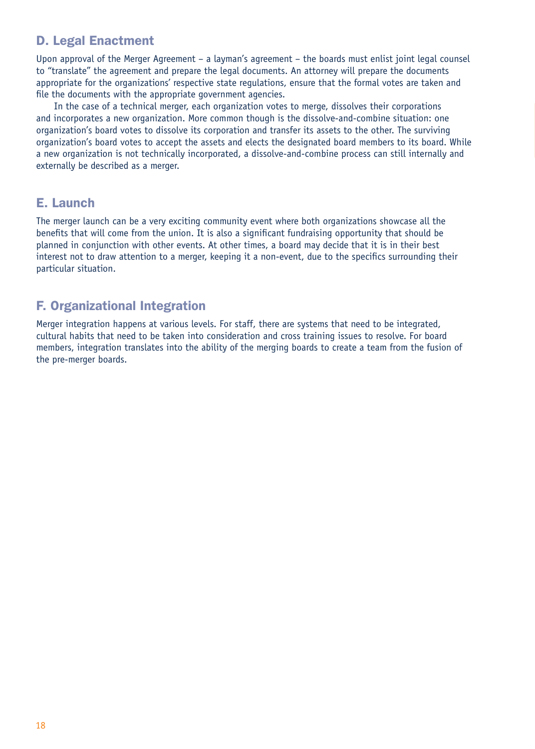# D. Legal Enactment

Upon approval of the Merger Agreement – a layman's agreement – the boards must enlist joint legal counsel to "translate" the agreement and prepare the legal documents. An attorney will prepare the documents appropriate for the organizations' respective state regulations, ensure that the formal votes are taken and file the documents with the appropriate government agencies.

In the case of a technical merger, each organization votes to merge, dissolves their corporations and incorporates a new organization. More common though is the dissolve-and-combine situation: one organization's board votes to dissolve its corporation and transfer its assets to the other. The surviving organization's board votes to accept the assets and elects the designated board members to its board. While a new organization is not technically incorporated, a dissolve-and-combine process can still internally and externally be described as a merger.

### E. Launch

The merger launch can be a very exciting community event where both organizations showcase all the benefits that will come from the union. It is also a significant fundraising opportunity that should be planned in conjunction with other events. At other times, a board may decide that it is in their best interest not to draw attention to a merger, keeping it a non-event, due to the specifics surrounding their particular situation.

# F. Organizational Integration

Merger integration happens at various levels. For staff, there are systems that need to be integrated, cultural habits that need to be taken into consideration and cross training issues to resolve. For board members, integration translates into the ability of the merging boards to create a team from the fusion of the pre-merger boards.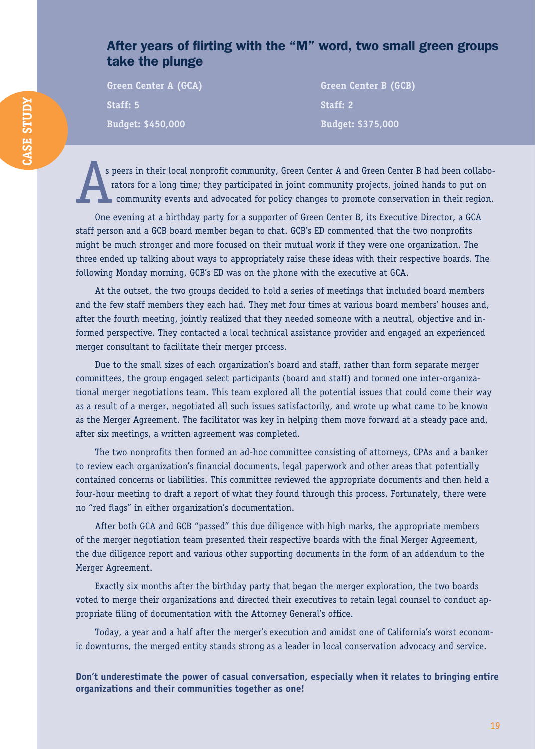## After years of flirting with the "M" word, two small green groups take the plunge

| Green Center A (GCA)     | <b>Green Center B (GCB)</b> |
|--------------------------|-----------------------------|
| Staff: 5                 | Staff: 2                    |
| <b>Budget: \$450,000</b> | <b>Budget: \$375,000</b>    |

s peers in their local nonprofit community, Green Center A and Green Center B had been collaborators for a long time; they participated in joint community projects, joined hands to put on community events and advocated for policy changes to promote conservation in their region. A<sup>s1</sup>

One evening at a birthday party for a supporter of Green Center B, its Executive Director, a GCA staff person and a GCB board member began to chat. GCB's ED commented that the two nonprofits might be much stronger and more focused on their mutual work if they were one organization. The three ended up talking about ways to appropriately raise these ideas with their respective boards. The following Monday morning, GCB's ED was on the phone with the executive at GCA.

At the outset, the two groups decided to hold a series of meetings that included board members and the few staff members they each had. They met four times at various board members' houses and, after the fourth meeting, jointly realized that they needed someone with a neutral, objective and informed perspective. They contacted a local technical assistance provider and engaged an experienced merger consultant to facilitate their merger process.

Due to the small sizes of each organization's board and staff, rather than form separate merger committees, the group engaged select participants (board and staff) and formed one inter-organizational merger negotiations team. This team explored all the potential issues that could come their way as a result of a merger, negotiated all such issues satisfactorily, and wrote up what came to be known as the Merger Agreement. The facilitator was key in helping them move forward at a steady pace and, after six meetings, a written agreement was completed.

The two nonprofits then formed an ad-hoc committee consisting of attorneys, CPAs and a banker to review each organization's financial documents, legal paperwork and other areas that potentially contained concerns or liabilities. This committee reviewed the appropriate documents and then held a four-hour meeting to draft a report of what they found through this process. Fortunately, there were no "red flags" in either organization's documentation.

After both GCA and GCB "passed" this due diligence with high marks, the appropriate members of the merger negotiation team presented their respective boards with the final Merger Agreement, the due diligence report and various other supporting documents in the form of an addendum to the Merger Agreement.

Exactly six months after the birthday party that began the merger exploration, the two boards voted to merge their organizations and directed their executives to retain legal counsel to conduct appropriate filing of documentation with the Attorney General's office.

Today, a year and a half after the merger's execution and amidst one of California's worst economic downturns, the merged entity stands strong as a leader in local conservation advocacy and service.

**Don't underestimate the power of casual conversation, especially when it relates to bringing entire organizations and their communities together as one!**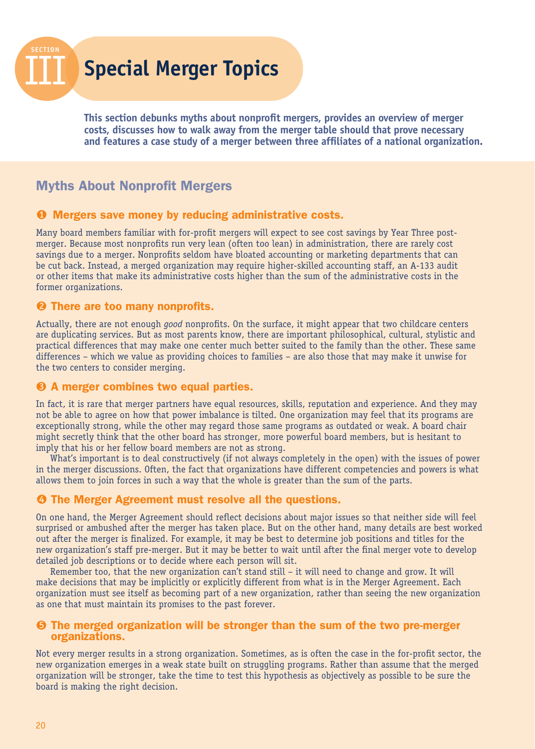# **Special Merger Topics**

 **This section debunks myths about nonprofit mergers, provides an overview of merger costs, discusses how to walk away from the merger table should that prove necessary and features a case study of a merger between three affiliates of a national organization.**

# Myths About Nonprofit Mergers

III

**SECTION**

#### **1** Mergers save money by reducing administrative costs.

Many board members familiar with for-profit mergers will expect to see cost savings by Year Three postmerger. Because most nonprofits run very lean (often too lean) in administration, there are rarely cost savings due to a merger. Nonprofits seldom have bloated accounting or marketing departments that can be cut back. Instead, a merged organization may require higher-skilled accounting staff, an A-133 audit or other items that make its administrative costs higher than the sum of the administrative costs in the former organizations.

#### **2** There are too many nonprofits.

Actually, there are not enough *good* nonprofits. On the surface, it might appear that two childcare centers are duplicating services. But as most parents know, there are important philosophical, cultural, stylistic and practical differences that may make one center much better suited to the family than the other. These same differences – which we value as providing choices to families – are also those that may make it unwise for the two centers to consider merging.

#### <sup>6</sup> A merger combines two equal parties.

In fact, it is rare that merger partners have equal resources, skills, reputation and experience. And they may not be able to agree on how that power imbalance is tilted. One organization may feel that its programs are exceptionally strong, while the other may regard those same programs as outdated or weak. A board chair might secretly think that the other board has stronger, more powerful board members, but is hesitant to imply that his or her fellow board members are not as strong.

 What's important is to deal constructively (if not always completely in the open) with the issues of power in the merger discussions. Often, the fact that organizations have different competencies and powers is what allows them to join forces in such a way that the whole is greater than the sum of the parts.

#### **4** The Merger Agreement must resolve all the questions.

On one hand, the Merger Agreement should reflect decisions about major issues so that neither side will feel surprised or ambushed after the merger has taken place. But on the other hand, many details are best worked out after the merger is finalized. For example, it may be best to determine job positions and titles for the new organization's staff pre-merger. But it may be better to wait until after the final merger vote to develop detailed job descriptions or to decide where each person will sit.

 Remember too, that the new organization can't stand still – it will need to change and grow. It will make decisions that may be implicitly or explicitly different from what is in the Merger Agreement. Each organization must see itself as becoming part of a new organization, rather than seeing the new organization as one that must maintain its promises to the past forever.

#### 5 The merged organization will be stronger than the sum of the two pre-merger organizations.

Not every merger results in a strong organization. Sometimes, as is often the case in the for-profit sector, the new organization emerges in a weak state built on struggling programs. Rather than assume that the merged organization will be stronger, take the time to test this hypothesis as objectively as possible to be sure the board is making the right decision.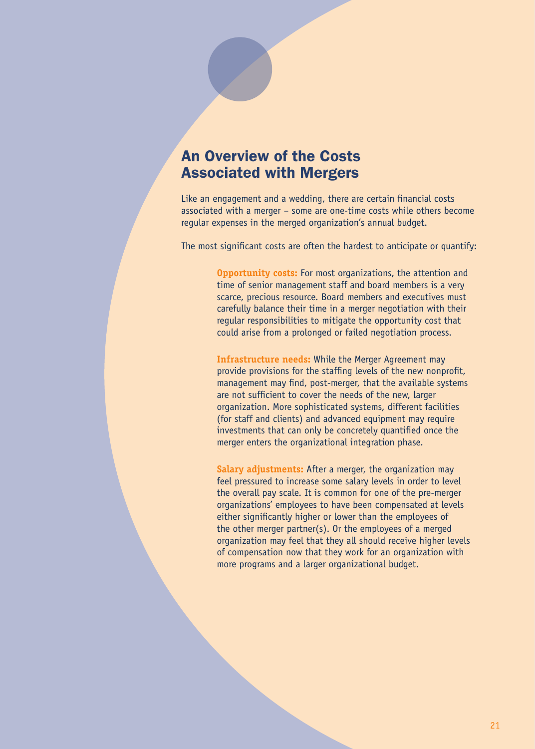# An Overview of the Costs Associated with Mergers

Like an engagement and a wedding, there are certain financial costs associated with a merger – some are one-time costs while others become regular expenses in the merged organization's annual budget.

The most significant costs are often the hardest to anticipate or quantify:

**Opportunity costs:** For most organizations, the attention and time of senior management staff and board members is a very scarce, precious resource. Board members and executives must carefully balance their time in a merger negotiation with their regular responsibilities to mitigate the opportunity cost that could arise from a prolonged or failed negotiation process.

**Infrastructure needs:** While the Merger Agreement may provide provisions for the staffing levels of the new nonprofit, management may find, post-merger, that the available systems are not sufficient to cover the needs of the new, larger organization. More sophisticated systems, different facilities (for staff and clients) and advanced equipment may require investments that can only be concretely quantified once the merger enters the organizational integration phase.

**Salary adjustments:** After a merger, the organization may feel pressured to increase some salary levels in order to level the overall pay scale. It is common for one of the pre-merger organizations' employees to have been compensated at levels either significantly higher or lower than the employees of the other merger partner(s). Or the employees of a merged organization may feel that they all should receive higher levels of compensation now that they work for an organization with more programs and a larger organizational budget.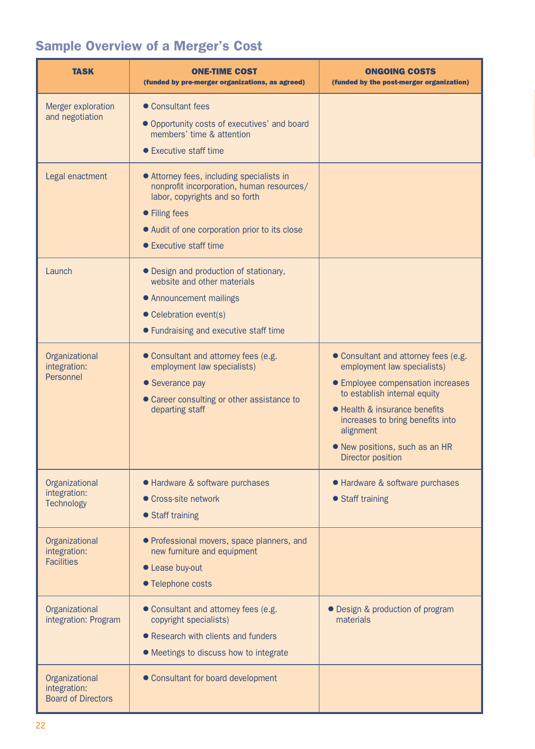# Sample Overview of a Merger's Cost

| <b>TASK</b>                                                 | <b>ONE-TIME COST</b><br>(funded by pre-merger organizations, as agreed)                                                                                                                                              | <b>ONGOING COSTS</b><br>(funded by the post-merger organization)                                                                                                                                                                                                                         |
|-------------------------------------------------------------|----------------------------------------------------------------------------------------------------------------------------------------------------------------------------------------------------------------------|------------------------------------------------------------------------------------------------------------------------------------------------------------------------------------------------------------------------------------------------------------------------------------------|
| Merger exploration<br>and negotiation                       | • Consultant fees<br>• Opportunity costs of executives' and board<br>members' time & attention<br>• Executive staff time                                                                                             |                                                                                                                                                                                                                                                                                          |
| Legal enactment                                             | • Attorney fees, including specialists in<br>nonprofit incorporation, human resources/<br>labor, copyrights and so forth<br>• Filing fees<br>• Audit of one corporation prior to its close<br>• Executive staff time |                                                                                                                                                                                                                                                                                          |
| Launch                                                      | • Design and production of stationary,<br>website and other materials<br>• Announcement mailings<br>• Celebration event(s)<br>• Fundraising and executive staff time                                                 |                                                                                                                                                                                                                                                                                          |
| Organizational<br>integration:<br>Personnel                 | • Consultant and attorney fees (e.g.<br>employment law specialists)<br>• Severance pay<br>• Career consulting or other assistance to<br>departing staff                                                              | • Consultant and attorney fees (e.g.<br>employment law specialists)<br>• Employee compensation increases<br>to establish internal equity<br>• Health & insurance benefits<br>increases to bring benefits into<br>alignment<br>• New positions, such as an HR<br><b>Director position</b> |
| Organizational<br>integration:<br>Technology                | • Hardware & software purchases<br>• Cross-site network<br>• Staff training                                                                                                                                          | • Hardware & software purchases<br>• Staff training                                                                                                                                                                                                                                      |
| Organizational<br>integration:<br><b>Facilities</b>         | · Professional movers, space planners, and<br>new furniture and equipment<br>• Lease buy-out<br>• Telephone costs                                                                                                    |                                                                                                                                                                                                                                                                                          |
| Organizational<br>integration: Program                      | • Consultant and attorney fees (e.g.<br>copyright specialists)<br>• Research with clients and funders<br>• Meetings to discuss how to integrate                                                                      | • Design & production of program<br>materials                                                                                                                                                                                                                                            |
| Organizational<br>integration:<br><b>Board of Directors</b> | • Consultant for board development                                                                                                                                                                                   |                                                                                                                                                                                                                                                                                          |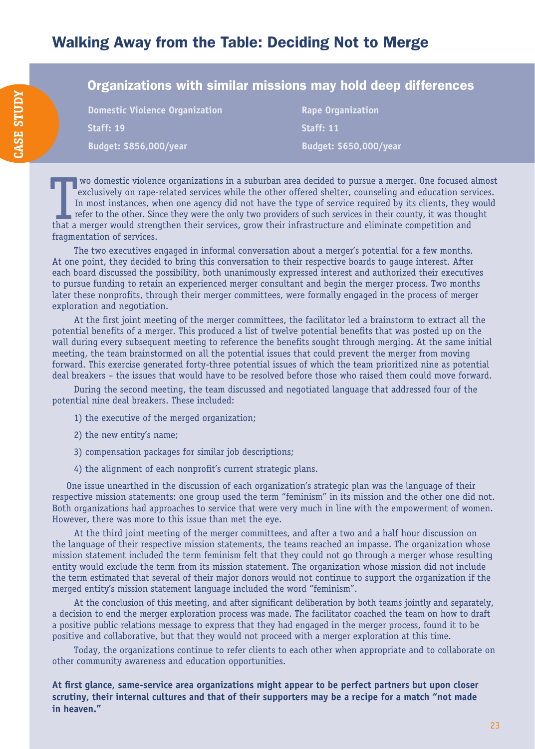#### Organizations with similar missions may hold deep differences

| <b>Domestic Violence Organization</b> |
|---------------------------------------|
| Staff: 19                             |
| <b>Budget: \$856,000/year</b>         |

**Rape Organization Staff: 11 Budget: \$856,000/year Budget: \$650,000/year**

wo domestic violence organizations in a suburban area decided to pursue a merger. One focused almost exclusively on rape-related services while the other offered shelter, counseling and education services. In most instances, when one agency did not have the type of service required by its clients, they would refer to the other. Since they were the only two providers of such services in their county, it was thought **that a merger would strengthen their services** while the other offered shelter, counseling and education services. In most instances, when one agency did not have the type of service required by its clients, they verfer t fragmentation of services.

The two executives engaged in informal conversation about a merger's potential for a few months. At one point, they decided to bring this conversation to their respective boards to gauge interest. After each board discussed the possibility, both unanimously expressed interest and authorized their executives to pursue funding to retain an experienced merger consultant and begin the merger process. Two months later these nonprofits, through their merger committees, were formally engaged in the process of merger exploration and negotiation.

At the first joint meeting of the merger committees, the facilitator led a brainstorm to extract all the potential benefits of a merger. This produced a list of twelve potential benefits that was posted up on the wall during every subsequent meeting to reference the benefits sought through merging. At the same initial meeting, the team brainstormed on all the potential issues that could prevent the merger from moving forward. This exercise generated forty-three potential issues of which the team prioritized nine as potential deal breakers – the issues that would have to be resolved before those who raised them could move forward.

During the second meeting, the team discussed and negotiated language that addressed four of the potential nine deal breakers. These included:

- 1) the executive of the merged organization;
- 2) the new entity's name;
- 3) compensation packages for similar job descriptions;
- 4) the alignment of each nonprofit's current strategic plans.

 One issue unearthed in the discussion of each organization's strategic plan was the language of their respective mission statements: one group used the term "feminism" in its mission and the other one did not. Both organizations had approaches to service that were very much in line with the empowerment of women. However, there was more to this issue than met the eye.

At the third joint meeting of the merger committees, and after a two and a half hour discussion on the language of their respective mission statements, the teams reached an impasse. The organization whose mission statement included the term feminism felt that they could not go through a merger whose resulting entity would exclude the term from its mission statement. The organization whose mission did not include the term estimated that several of their major donors would not continue to support the organization if the merged entity's mission statement language included the word "feminism".

At the conclusion of this meeting, and after significant deliberation by both teams jointly and separately, a decision to end the merger exploration process was made. The facilitator coached the team on how to draft a positive public relations message to express that they had engaged in the merger process, found it to be positive and collaborative, but that they would not proceed with a merger exploration at this time.

Today, the organizations continue to refer clients to each other when appropriate and to collaborate on other community awareness and education opportunities.

**At first glance, same-service area organizations might appear to be perfect partners but upon closer scrutiny, their internal cultures and that of their supporters may be a recipe for a match "not made in heaven."**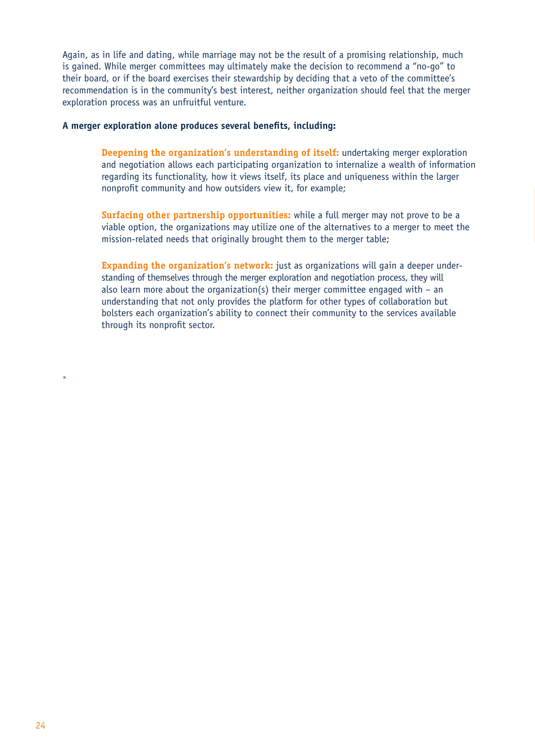Again, as in life and dating, while marriage may not be the result of a promising relationship, much is gained. While merger committees may ultimately make the decision to recommend a "no-go" to their board, or if the board exercises their stewardship by deciding that a veto of the committee's recommendation is in the community's best interest, neither organization should feel that the merger exploration process was an unfruitful venture.

#### **A merger exploration alone produces several benefits, including:**

**Deepening the organization's understanding of itself:** undertaking merger exploration and negotiation allows each participating organization to internalize a wealth of information regarding its functionality, how it views itself, its place and uniqueness within the larger nonprofit community and how outsiders view it, for example;

**Surfacing other partnership opportunities:** while a full merger may not prove to be a viable option, the organizations may utilize one of the alternatives to a merger to meet the mission-related needs that originally brought them to the merger table;

**Expanding the organization's network:** just as organizations will gain a deeper understanding of themselves through the merger exploration and negotiation process, they will also learn more about the organization(s) their merger committee engaged with – an understanding that not only provides the platform for other types of collaboration but bolsters each organization's ability to connect their community to the services available through its nonprofit sector.

.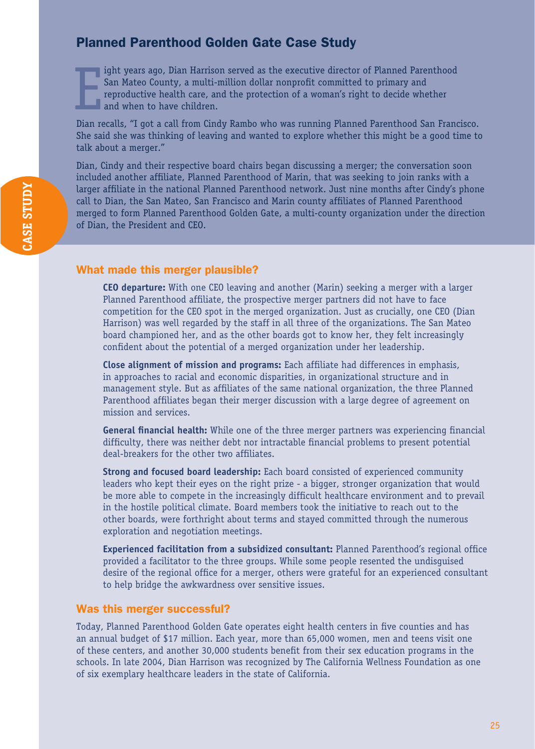# Planned Parenthood Golden Gate Case Study

ight years ago, Dian Harrison served as the executive director of Planned Parenthood San Mateo County, a multi-million dollar nonprofit committed to primary and reproductive health care, and the protection of a woman's right to decide whether and when to have children. E

Dian recalls, "I got a call from Cindy Rambo who was running Planned Parenthood San Francisco. She said she was thinking of leaving and wanted to explore whether this might be a good time to talk about a merger."

Dian, Cindy and their respective board chairs began discussing a merger; the conversation soon included another affiliate, Planned Parenthood of Marin, that was seeking to join ranks with a larger affiliate in the national Planned Parenthood network. Just nine months after Cindy's phone call to Dian, the San Mateo, San Francisco and Marin county affiliates of Planned Parenthood merged to form Planned Parenthood Golden Gate, a multi-county organization under the direction of Dian, the President and CEO.

#### What made this merger plausible?

 **CEO departure:** With one CEO leaving and another (Marin) seeking a merger with a larger Planned Parenthood affiliate, the prospective merger partners did not have to face competition for the CEO spot in the merged organization. Just as crucially, one CEO (Dian Harrison) was well regarded by the staff in all three of the organizations. The San Mateo board championed her, and as the other boards got to know her, they felt increasingly confident about the potential of a merged organization under her leadership.

 **Close alignment of mission and programs:** Each affiliate had differences in emphasis, in approaches to racial and economic disparities, in organizational structure and in management style. But as affiliates of the same national organization, the three Planned Parenthood affiliates began their merger discussion with a large degree of agreement on mission and services.

 **General financial health:** While one of the three merger partners was experiencing financial difficulty, there was neither debt nor intractable financial problems to present potential deal-breakers for the other two affiliates.

 **Strong and focused board leadership:** Each board consisted of experienced community leaders who kept their eyes on the right prize - a bigger, stronger organization that would be more able to compete in the increasingly difficult healthcare environment and to prevail in the hostile political climate. Board members took the initiative to reach out to the other boards, were forthright about terms and stayed committed through the numerous exploration and negotiation meetings.

 **Experienced facilitation from a subsidized consultant:** Planned Parenthood's regional office provided a facilitator to the three groups. While some people resented the undisguised desire of the regional office for a merger, others were grateful for an experienced consultant to help bridge the awkwardness over sensitive issues.

#### Was this merger successful?

Today, Planned Parenthood Golden Gate operates eight health centers in five counties and has an annual budget of \$17 million. Each year, more than 65,000 women, men and teens visit one of these centers, and another 30,000 students benefit from their sex education programs in the schools. In late 2004, Dian Harrison was recognized by The California Wellness Foundation as one of six exemplary healthcare leaders in the state of California.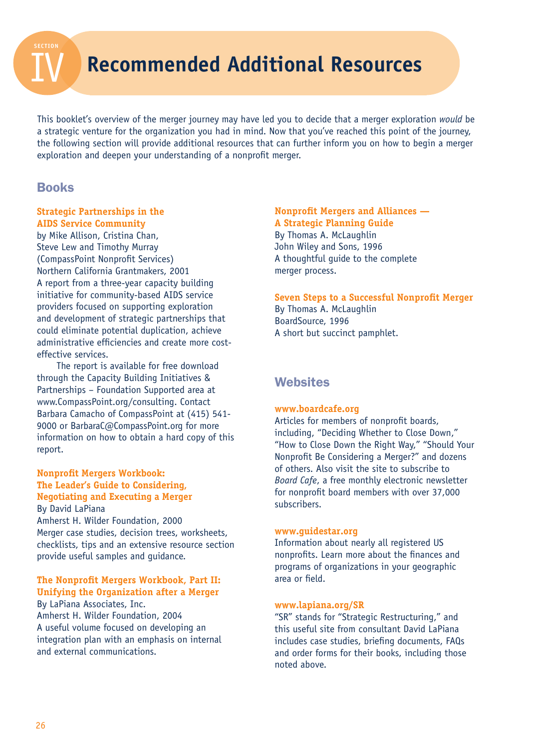IV

# **Recommended Additional Resources**

This booklet's overview of the merger journey may have led you to decide that a merger exploration *would* be a strategic venture for the organization you had in mind. Now that you've reached this point of the journey, the following section will provide additional resources that can further inform you on how to begin a merger exploration and deepen your understanding of a nonprofit merger.

#### Books

#### **Strategic Partnerships in the AIDS Service Community**

by Mike Allison, Cristina Chan, Steve Lew and Timothy Murray (CompassPoint Nonprofit Services) Northern California Grantmakers, 2001 A report from a three-year capacity building initiative for community-based AIDS service providers focused on supporting exploration and development of strategic partnerships that could eliminate potential duplication, achieve administrative efficiencies and create more costeffective services.

The report is available for free download through the Capacity Building Initiatives & Partnerships – Foundation Supported area at www.CompassPoint.org/consulting. Contact Barbara Camacho of CompassPoint at (415) 541- 9000 or BarbaraC@CompassPoint.org for more information on how to obtain a hard copy of this report.

#### **Nonprofit Mergers Workbook: The Leader's Guide to Considering, Negotiating and Executing a Merger**

By David LaPiana Amherst H. Wilder Foundation, 2000 Merger case studies, decision trees, worksheets, checklists, tips and an extensive resource section provide useful samples and guidance.

#### **The Nonprofit Mergers Workbook, Part II: Unifying the Organization after a Merger** By LaPiana Associates, Inc.

Amherst H. Wilder Foundation, 2004 A useful volume focused on developing an integration plan with an emphasis on internal and external communications.

#### **Nonprofit Mergers and Alliances — A Strategic Planning Guide**

By Thomas A. McLaughlin John Wiley and Sons, 1996 A thoughtful guide to the complete merger process.

#### **Seven Steps to a Successful Nonprofit Merger** By Thomas A. McLaughlin

BoardSource, 1996 A short but succinct pamphlet.

### **Websites**

#### **www.boardcafe.org**

Articles for members of nonprofit boards, including, "Deciding Whether to Close Down," "How to Close Down the Right Way," "Should Your Nonprofit Be Considering a Merger?" and dozens of others. Also visit the site to subscribe to *Board Cafe*, a free monthly electronic newsletter for nonprofit board members with over 37,000 subscribers.

#### **www.guidestar.org**

Information about nearly all registered US nonprofits. Learn more about the finances and programs of organizations in your geographic area or field.

#### **www.lapiana.org/SR**

"SR" stands for "Strategic Restructuring," and this useful site from consultant David LaPiana includes case studies, briefing documents, FAQs and order forms for their books, including those noted above.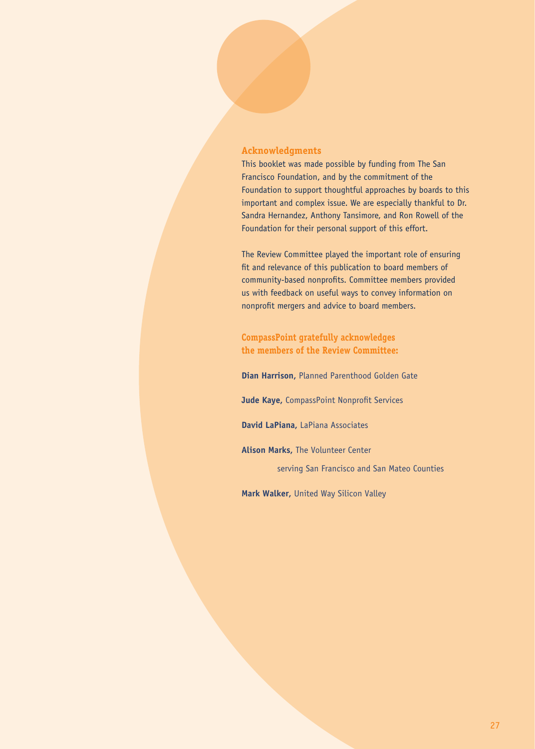#### **Acknowledgments**

This booklet was made possible by funding from The San Francisco Foundation, and by the commitment of the Foundation to support thoughtful approaches by boards to this important and complex issue. We are especially thankful to Dr. Sandra Hernandez, Anthony Tansimore, and Ron Rowell of the Foundation for their personal support of this effort.

The Review Committee played the important role of ensuring fit and relevance of this publication to board members of community-based nonprofits. Committee members provided us with feedback on useful ways to convey information on nonprofit mergers and advice to board members.

#### **CompassPoint gratefully acknowledges the members of the Review Committee:**

**Dian Harrison,** Planned Parenthood Golden Gate

**Jude Kaye,** CompassPoint Nonprofit Services

**David LaPiana,** LaPiana Associates

**Alison Marks,** The Volunteer Center

serving San Francisco and San Mateo Counties

**Mark Walker,** United Way Silicon Valley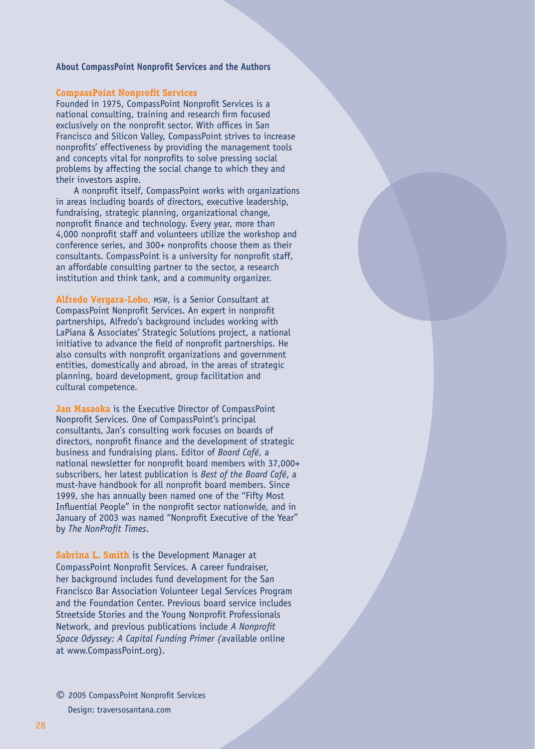#### **About CompassPoint Nonprofit Services and the Authors**

#### **CompassPoint Nonprofit Services**

Founded in 1975, CompassPoint Nonprofit Services is a national consulting, training and research firm focused exclusively on the nonprofit sector. With offices in San Francisco and Silicon Valley, CompassPoint strives to increase nonprofits' effectiveness by providing the management tools and concepts vital for nonprofits to solve pressing social problems by affecting the social change to which they and their investors aspire.

A nonprofit itself, CompassPoint works with organizations in areas including boards of directors, executive leadership, fundraising, strategic planning, organizational change, nonprofit finance and technology. Every year, more than 4,000 nonprofit staff and volunteers utilize the workshop and conference series, and 300+ nonprofits choose them as their consultants. CompassPoint is a university for nonprofit staff, an affordable consulting partner to the sector, a research institution and think tank, and a community organizer.

**Alfredo Vergara-Lobo,** MSW, is a Senior Consultant at CompassPoint Nonprofit Services. An expert in nonprofit partnerships, Alfredo's background includes working with LaPiana & Associates' Strategic Solutions project, a national initiative to advance the field of nonprofit partnerships. He also consults with nonprofit organizations and government entities, domestically and abroad, in the areas of strategic planning, board development, group facilitation and cultural competence.

**Jan Masaoka** is the Executive Director of CompassPoint Nonprofit Services. One of CompassPoint's principal consultants, Jan's consulting work focuses on boards of directors, nonprofit finance and the development of strategic business and fundraising plans. Editor of *Board Café*, a national newsletter for nonprofit board members with 37,000+ subscribers, her latest publication is *Best of the Board Café*, a must-have handbook for all nonprofit board members. Since 1999, she has annually been named one of the "Fifty Most Influential People" in the nonprofit sector nationwide, and in January of 2003 was named "Nonprofit Executive of the Year" by *The NonProfit Times*.

**Sabrina L. Smith** is the Development Manager at CompassPoint Nonprofit Services. A career fundraiser, her background includes fund development for the San Francisco Bar Association Volunteer Legal Services Program and the Foundation Center. Previous board service includes Streetside Stories and the Young Nonprofit Professionals Network, and previous publications include *A Nonprofit Space Odyssey: A Capital Funding Primer (*available online at www.CompassPoint.org).

© 2005 CompassPoint Nonprofit Services Design: traversosantana.com